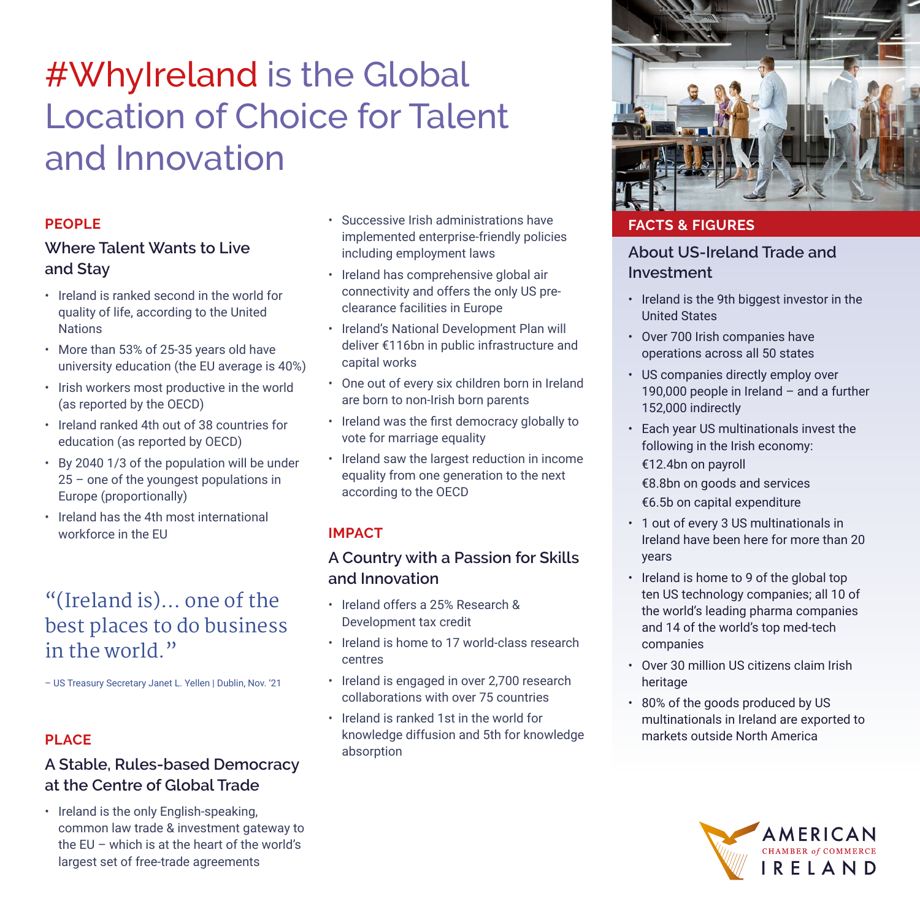# #WhyIreland is the Global Location of Choice for Talent and Innovation

#### **PEOPLE**

#### **Where Talent Wants to Live and Stay**

- Ireland is ranked second in the world for quality of life, according to the United Nations
- More than 53% of 25-35 years old have university education (the EU average is 40%)
- Irish workers most productive in the world (as reported by the OECD)
- Ireland ranked 4th out of 38 countries for education (as reported by OECD)
- By 2040 1/3 of the population will be under 25 – one of the youngest populations in Europe (proportionally)
- Ireland has the 4th most international workforce in the EU

## "(Ireland is)… one of the best places to do business in the world."

– US Treasury Secretary Janet L. Yellen | Dublin, Nov. '21

#### **PLACE**

### **A Stable, Rules-based Democracy at the Centre of Global Trade**

• Ireland is the only English-speaking, common law trade & investment gateway to the EU – which is at the heart of the world's largest set of free-trade agreements

- Successive Irish administrations have implemented enterprise-friendly policies including employment laws
- Ireland has comprehensive global air connectivity and offers the only US preclearance facilities in Europe
- Ireland's National Development Plan will deliver €116bn in public infrastructure and capital works
- One out of every six children born in Ireland are born to non-Irish born parents
- • Ireland was the first democracy globally to vote for marriage equality
- Ireland saw the largest reduction in income equality from one generation to the next according to the OECD

#### **IMPACT**

### **A Country with a Passion for Skills and Innovation**

- Ireland offers a 25% Research & Development tax credit
- Ireland is home to 17 world-class research centres
- Ireland is engaged in over 2,700 research collaborations with over 75 countries
- Ireland is ranked 1st in the world for knowledge diffusion and 5th for knowledge absorption



#### **FACTS & FIGURES**

#### **About US-Ireland Trade and Investment**

- Ireland is the 9th biggest investor in the United States
- Over 700 Irish companies have operations across all 50 states
- US companies directly employ over 190,000 people in Ireland – and a further 152,000 indirectly
- Each year US multinationals invest the following in the Irish economy: €12.4bn on payroll €8.8bn on goods and services €6.5b on capital expenditure
- 1 out of every 3 US multinationals in Ireland have been here for more than 20 years
- Ireland is home to 9 of the global top ten US technology companies; all 10 of the world's leading pharma companies and 14 of the world's top med-tech companies
- Over 30 million US citizens claim Irish heritage
- 80% of the goods produced by US multinationals in Ireland are exported to markets outside North America